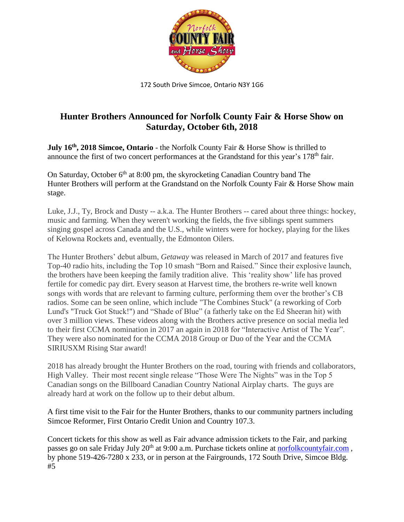

172 South Drive Simcoe, Ontario N3Y 1G6

## **Hunter Brothers Announced for Norfolk County Fair & Horse Show on Saturday, October 6th, 2018**

**July 16th , 2018 Simcoe, Ontario** - the Norfolk County Fair & Horse Show is thrilled to announce the first of two concert performances at the Grandstand for this year's 178<sup>th</sup> fair.

On Saturday, October  $6<sup>th</sup>$  at 8:00 pm, the skyrocketing Canadian Country band The Hunter Brothers will perform at the Grandstand on the Norfolk County Fair & Horse Show main stage.

Luke, J.J., Ty, Brock and Dusty -- a.k.a. The Hunter Brothers -- cared about three things: hockey, music and farming. When they weren't working the fields, the five siblings spent summers singing gospel across Canada and the U.S., while winters were for hockey, playing for the likes of Kelowna Rockets and, eventually, the Edmonton Oilers.

The Hunter Brothers' debut album, *Getaway* was released in March of 2017 and features five Top-40 radio hits, including the Top 10 smash "Born and Raised." Since their explosive launch, the brothers have been keeping the family tradition alive. This 'reality show' life has proved fertile for comedic pay dirt. Every season at Harvest time, the brothers re-write well known songs with words that are relevant to farming culture, performing them over the brother's CB radios. Some can be seen online, which include "The Combines Stuck" (a reworking of Corb Lund's "Truck Got Stuck!") and "Shade of Blue" (a fatherly take on the Ed Sheeran hit) with over 3 million views. These videos along with the Brothers active presence on social media led to their first CCMA nomination in 2017 an again in 2018 for "Interactive Artist of The Year". They were also nominated for the CCMA 2018 Group or Duo of the Year and the CCMA SIRIUSXM Rising Star award!

2018 has already brought the Hunter Brothers on the road, touring with friends and collaborators, High Valley. Their most recent single release "Those Were The Nights" was in the Top 5 Canadian songs on the Billboard Canadian Country National Airplay charts. The guys are already hard at work on the follow up to their debut album.

A first time visit to the Fair for the Hunter Brothers, thanks to our community partners including Simcoe Reformer, First Ontario Credit Union and Country 107.3.

Concert tickets for this show as well as Fair advance admission tickets to the Fair, and parking passes go on sale Friday July 20<sup>th</sup> at 9:00 a.m. Purchase tickets online at **norfolkcountyfair.com**, by phone 519-426-7280 x 233, or in person at the Fairgrounds, 172 South Drive, Simcoe Bldg. #5